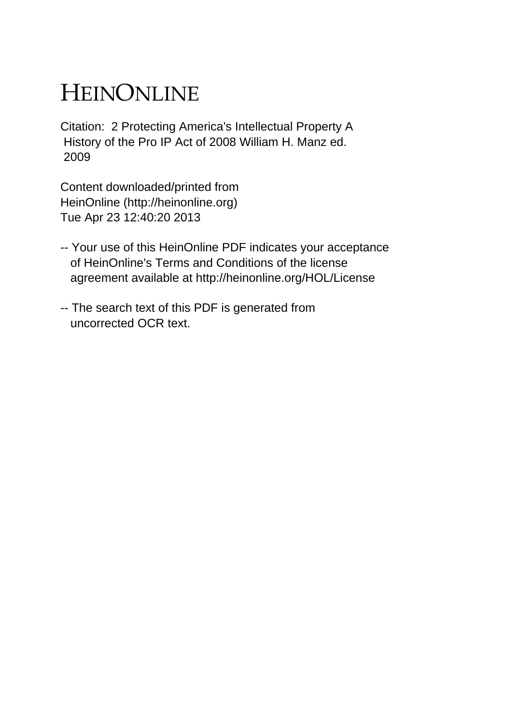# HEINONLINE

Citation: 2 Protecting America's Intellectual Property A History of the Pro IP Act of 2008 William H. Manz ed. 2009

Content downloaded/printed from HeinOnline (http://heinonline.org) Tue Apr 23 12:40:20 2013

- -- Your use of this HeinOnline PDF indicates your acceptance of HeinOnline's Terms and Conditions of the license agreement available at http://heinonline.org/HOL/License
- -- The search text of this PDF is generated from uncorrected OCR text.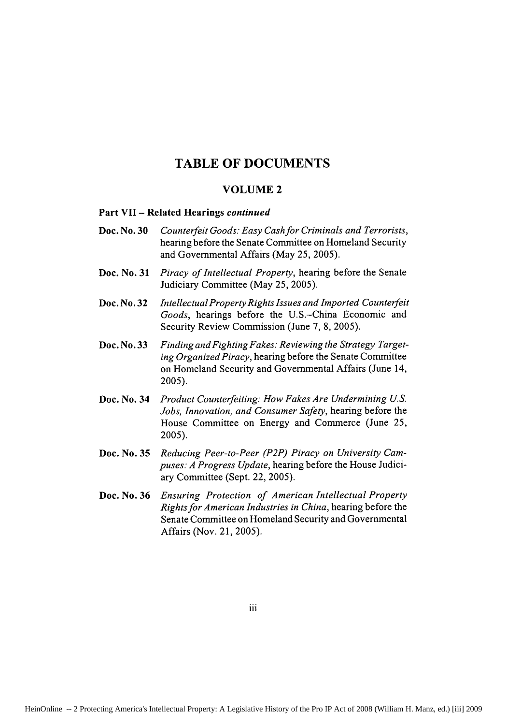### **TABLE OF DOCUMENTS**

#### **VOLUME 2**

#### **Part VII - Related Hearings** *continued*

- **Doc. No. 30** *Counterfeit Goods: Easy Cash for Criminals and Terrorists,* hearing before the Senate Committee on Homeland Security and Governmental Affairs (May **25,** 2005).
- Doc. No. **31** *Piracy of Intellectual Property,* hearing before the Senate Judiciary Committee (May 25, 2005).
- Doc. No. **32** *Intellectual Property Rights Issues and Imported Counterfeit Goods,* hearings before the U.S.-China Economic and Security Review Commission (June **7, 8, 2005).**
- Doe. No. **33** *Finding andFighting Fakes: Reviewing the Strategy Targeting Organized Piracy,* hearing before the Senate Committee on Homeland Security and Governmental Affairs (June 14, 2005).
- **Doc.** No. 34 *Product Counterfeiting: How Fakes Are Undermining U.S. Jobs, Innovation, and Consumer Safety,* hearing before the House Committee on Energy and Commerce (June 25, **2005).**
- **Doc.** No. **35** *Reducing Peer-to-Peer (P2P) Piracy on University Campuses: A Progress Update,* hearing before the House Judiciary Committee (Sept. 22, **2005).**
- **Doc. No. 36** *Ensuring Protection of American Intellectual Property Rights for American Industries in China,* hearing before the Senate Committee on Homeland Security and Governmental Affairs (Nov. 21, 2005).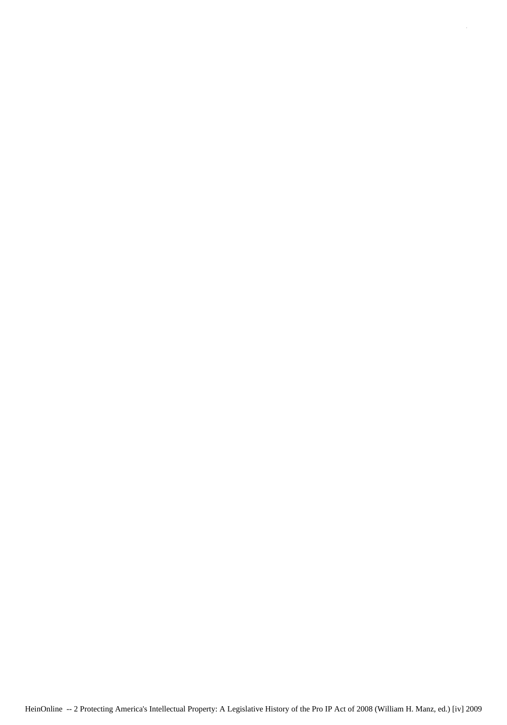HeinOnline -- 2 Protecting America's Intellectual Property: A Legislative History of the Pro IP Act of 2008 (William H. Manz, ed.) [iv] 2009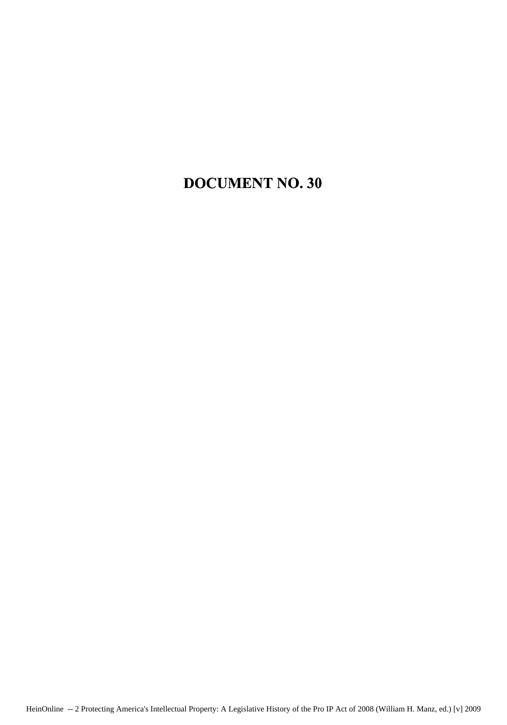## **DOCUMENT NO. 30**